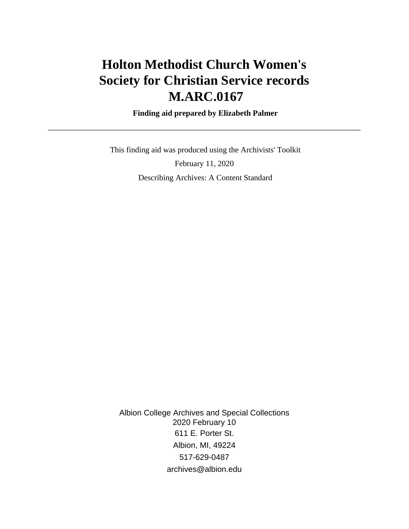# **Holton Methodist Church Women's Society for Christian Service records M.ARC.0167**

 **Finding aid prepared by Elizabeth Palmer**

 This finding aid was produced using the Archivists' Toolkit February 11, 2020 Describing Archives: A Content Standard

Albion College Archives and Special Collections 2020 February 10 611 E. Porter St. Albion, MI, 49224 517-629-0487 archives@albion.edu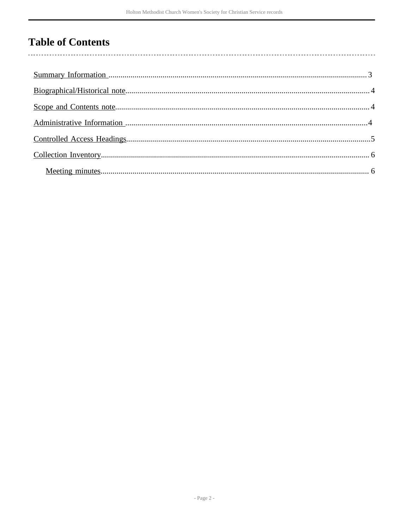# **Table of Contents**

l,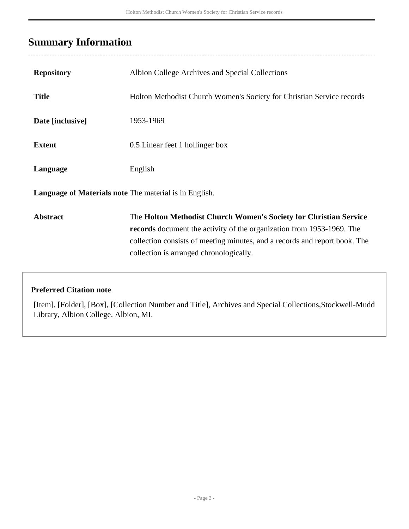## <span id="page-2-0"></span>**Summary Information**

 $\ddotsc$ 

| <b>Repository</b>                                             | Albion College Archives and Special Collections                                                                                                                                                                                                                     |  |  |  |
|---------------------------------------------------------------|---------------------------------------------------------------------------------------------------------------------------------------------------------------------------------------------------------------------------------------------------------------------|--|--|--|
| <b>Title</b>                                                  | Holton Methodist Church Women's Society for Christian Service records                                                                                                                                                                                               |  |  |  |
| Date [inclusive]                                              | 1953-1969                                                                                                                                                                                                                                                           |  |  |  |
| <b>Extent</b>                                                 | 0.5 Linear feet 1 hollinger box                                                                                                                                                                                                                                     |  |  |  |
| Language                                                      | English                                                                                                                                                                                                                                                             |  |  |  |
| <b>Language of Materials note</b> The material is in English. |                                                                                                                                                                                                                                                                     |  |  |  |
| <b>Abstract</b>                                               | The Holton Methodist Church Women's Society for Christian Service<br>records document the activity of the organization from 1953-1969. The<br>collection consists of meeting minutes, and a records and report book. The<br>collection is arranged chronologically. |  |  |  |

#### **Preferred Citation note**

[Item], [Folder], [Box], [Collection Number and Title], Archives and Special Collections,Stockwell-Mudd Library, Albion College. Albion, MI.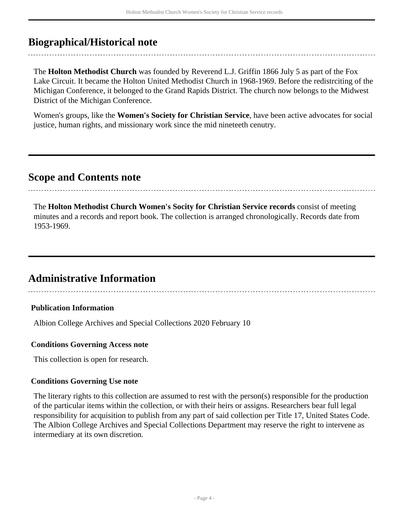## <span id="page-3-0"></span>**Biographical/Historical note**

The **Holton Methodist Church** was founded by Reverend L.J. Griffin 1866 July 5 as part of the Fox Lake Circuit. It became the Holton United Methodist Church in 1968-1969. Before the redistrciting of the Michigan Conference, it belonged to the Grand Rapids District. The church now belongs to the Midwest District of the Michigan Conference.

Women's groups, like the **Women's Society for Christian Service**, have been active advocates for social justice, human rights, and missionary work since the mid nineteeth cenutry.

### <span id="page-3-1"></span>**Scope and Contents note**

The **Holton Methodist Church Women's Socity for Christian Service records** consist of meeting minutes and a records and report book. The collection is arranged chronologically. Records date from 1953-1969.

### <span id="page-3-2"></span>**Administrative Information**

#### **Publication Information**

Albion College Archives and Special Collections 2020 February 10

#### **Conditions Governing Access note**

This collection is open for research.

#### **Conditions Governing Use note**

The literary rights to this collection are assumed to rest with the person(s) responsible for the production of the particular items within the collection, or with their heirs or assigns. Researchers bear full legal responsibility for acquisition to publish from any part of said collection per Title 17, United States Code. The Albion College Archives and Special Collections Department may reserve the right to intervene as intermediary at its own discretion.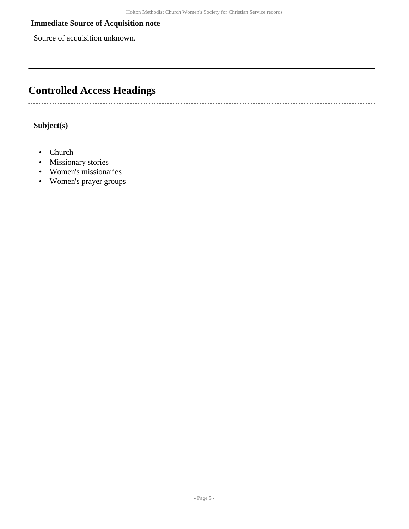#### **Immediate Source of Acquisition note**

Source of acquisition unknown.

## <span id="page-4-0"></span>**Controlled Access Headings**

#### **Subject(s)**

• Church

..........................

- Missionary stories
- Women's missionaries
- Women's prayer groups